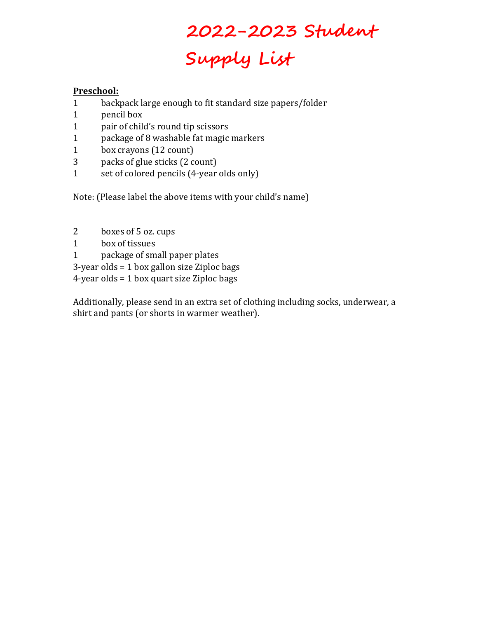# **2022-2023 Student Supply List**

#### **Preschool:**

- 1 backpack large enough to fit standard size papers/folder
- 1 pencil box
- 1 pair of child's round tip scissors
- 1 package of 8 washable fat magic markers
- 1 box crayons (12 count)
- 3 packs of glue sticks (2 count)
- 1 set of colored pencils (4-year olds only)

Note: (Please label the above items with your child's name)

- 2 boxes of 5 oz. cups
- 1 box of tissues
- 1 package of small paper plates
- $3$ -year olds = 1 box gallon size Ziploc bags

4-year olds = 1 box quart size Ziploc bags

Additionally, please send in an extra set of clothing including socks, underwear, a shirt and pants (or shorts in warmer weather).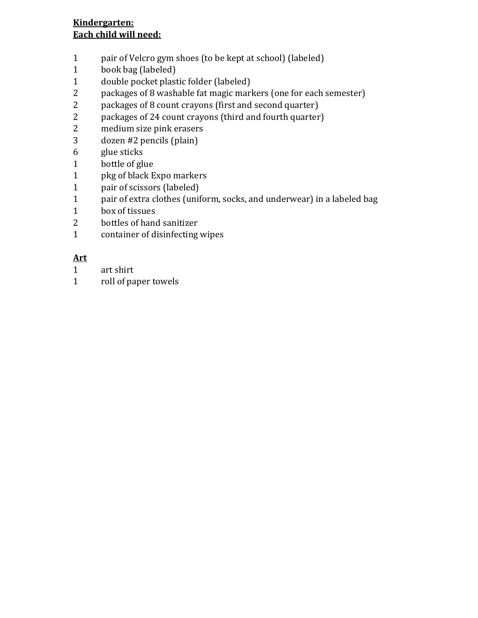## **Kindergarten: Each child will need:**

- pair of Velcro gym shoes (to be kept at school) (labeled)
- 1 book bag (labeled)
- 1 double pocket plastic folder (labeled)
- packages of 8 washable fat magic markers (one for each semester)
- packages of 8 count crayons (first and second quarter)
- packages of 24 count crayons (third and fourth quarter)
- medium size pink erasers
- 3 dozen #2 pencils (plain)
- glue sticks
- bottle of glue
- pkg of black Expo markers
- pair of scissors (labeled)
- pair of extra clothes (uniform, socks, and underwear) in a labeled bag
- box of tissues
- bottles of hand sanitizer
- container of disinfecting wipes

## **Art**

- 1 art shirt
- 1 roll of paper towels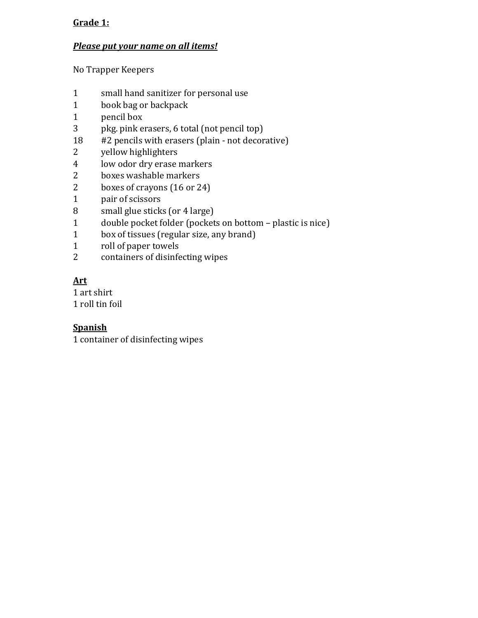#### **Grade 1:**

#### *Please put your name on all items!*

No Trapper Keepers

- 1 small hand sanitizer for personal use
- 1 book bag or backpack
- 1 pencil box
- 3 pkg. pink erasers, 6 total (not pencil top)
- 18 #2 pencils with erasers (plain not decorative)
- 2 yellow highlighters
- 4 low odor dry erase markers
- 2 boxes washable markers
- 2 boxes of crayons (16 or 24)
- 1 pair of scissors
- 8 small glue sticks (or 4 large)
- 1 double pocket folder (pockets on bottom plastic is nice)
- 1 box of tissues (regular size, any brand)
- 1 roll of paper towels
- 2 containers of disinfecting wipes

## **Art**

1 art shirt

1 roll tin foil

## **Spanish**

1 container of disinfecting wipes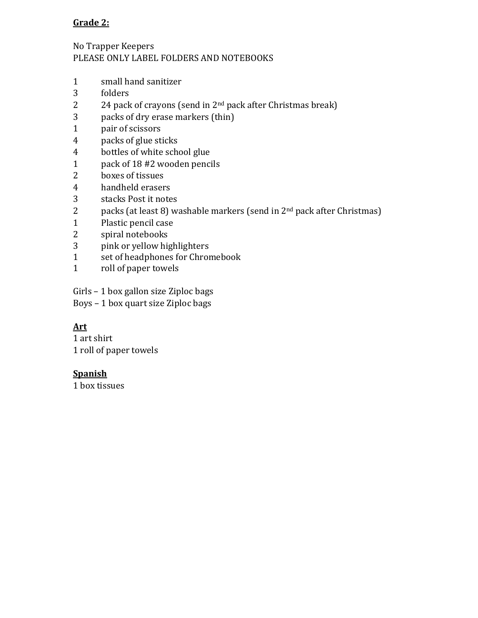### **Grade 2:**

## No Trapper Keepers PLEASE ONLY LABEL FOLDERS AND NOTEBOOKS

- 1 small hand sanitizer
- 3 folders
- 2 24 pack of crayons (send in 2<sup>nd</sup> pack after Christmas break)
- 3 packs of dry erase markers (thin)
- 1 pair of scissors
- 4 packs of glue sticks
- 4 bottles of white school glue
- 1 pack of 18 #2 wooden pencils
- 2 boxes of tissues
- 4 handheld erasers
- 3 stacks Post it notes
- 2 packs (at least 8) washable markers (send in  $2<sup>nd</sup>$  pack after Christmas)
- 1 Plastic pencil case
- 2 spiral notebooks
- 3 pink or yellow highlighters
- 1 set of headphones for Chromebook
- 1 roll of paper towels

Girls – 1 box gallon size Ziploc bags

Boys – 1 box quart size Ziploc bags

# **Art**

1 art shirt 1 roll of paper towels

## **Spanish**

1 box tissues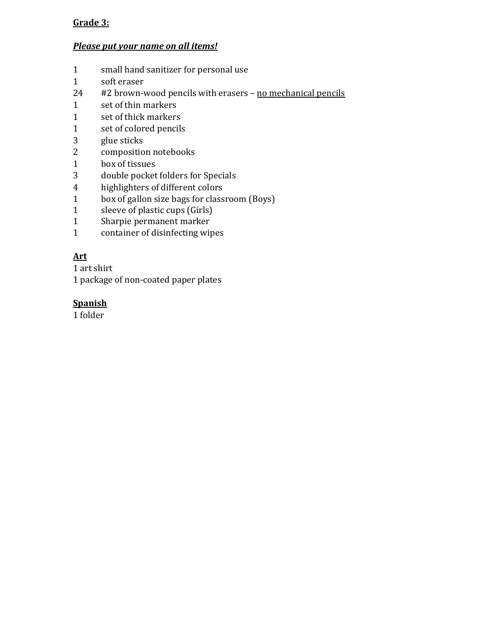## **Grade 3:**

#### *Please put your name on all items!*

- 1 small hand sanitizer for personal use
- 1 soft eraser
- 24 #2 brown-wood pencils with erasers no mechanical pencils
- 1 set of thin markers
- 1 set of thick markers
- 1 set of colored pencils
- 3 glue sticks
- 2 composition notebooks
- 1 box of tissues
- 3 double pocket folders for Specials
- 4 highlighters of different colors
- 1 box of gallon size bags for classroom (Boys)
- 1 sleeve of plastic cups (Girls)
- 1 Sharpie permanent marker
- 1 container of disinfecting wipes

# **Art**

- 1 art shirt
- 1 package of non-coated paper plates

## **Spanish**

1 folder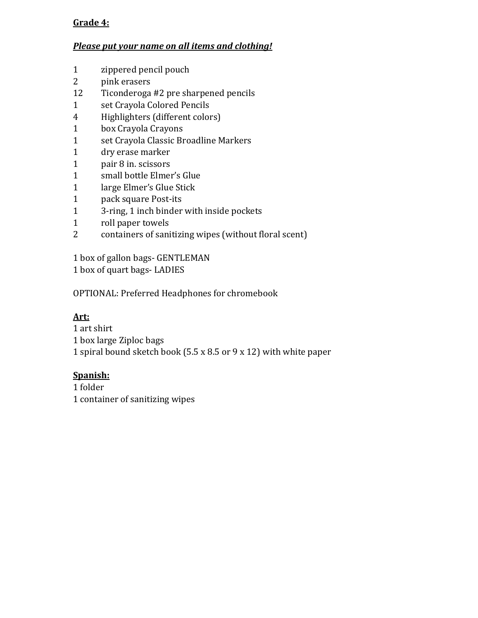#### **Grade 4:**

#### *Please put your name on all items and clothing!*

- 1 zippered pencil pouch
- 2 pink erasers
- 12 Ticonderoga #2 pre sharpened pencils
- 1 set Crayola Colored Pencils
- 4 Highlighters (different colors)
- 1 box Crayola Crayons
- 1 set Crayola Classic Broadline Markers
- 1 dry erase marker
- 1 pair 8 in. scissors
- 1 small bottle Elmer's Glue
- 1 large Elmer's Glue Stick
- 1 pack square Post-its
- 1 3-ring, 1 inch binder with inside pockets
- 1 roll paper towels
- 2 containers of sanitizing wipes (without floral scent)

1 box of gallon bags- GENTLEMAN 1 box of quart bags- LADIES

OPTIONAL: Preferred Headphones for chromebook

## **Art:**

- 1 art shirt
- 1 box large Ziploc bags
- 1 spiral bound sketch book (5.5 x 8.5 or 9 x 12) with white paper

## **Spanish:**

1 folder 1 container of sanitizing wipes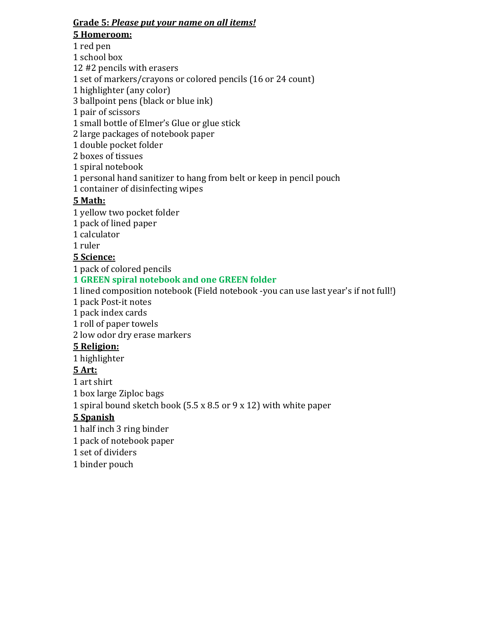## **Grade 5:** *Please put your name on all items!*

## **5 Homeroom:**

- 1 red pen
- 1 school box
- 12 #2 pencils with erasers
- 1 set of markers/crayons or colored pencils (16 or 24 count)
- 1 highlighter (any color)
- 3 ballpoint pens (black or blue ink)
- 1 pair of scissors
- 1 small bottle of Elmer's Glue or glue stick
- 2 large packages of notebook paper
- 1 double pocket folder
- 2 boxes of tissues
- 1 spiral notebook
- 1 personal hand sanitizer to hang from belt or keep in pencil pouch
- 1 container of disinfecting wipes

# **5 Math:**

- 1 yellow two pocket folder
- 1 pack of lined paper
- 1 calculator
- 1 ruler

## **5 Science:**

1 pack of colored pencils

## **1 GREEN spiral notebook and one GREEN folder**

- 1 lined composition notebook (Field notebook -you can use last year's if not full!)
- 1 pack Post-it notes
- 1 pack index cards
- 1 roll of paper towels
- 2 low odor dry erase markers

# **5 Religion:**

1 highlighter

# **5 Art:**

- 1 art shirt
- 1 box large Ziploc bags
- 1 spiral bound sketch book (5.5 x 8.5 or 9 x 12) with white paper

# **5 Spanish**

- 1 half inch 3 ring binder
- 1 pack of notebook paper
- 1 set of dividers
- 1 binder pouch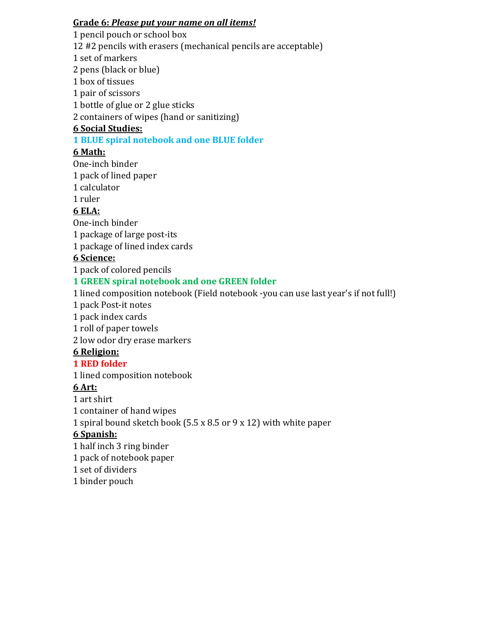#### **Grade 6:** *Please put your name on all items!*

1 pencil pouch or school box

12 #2 pencils with erasers (mechanical pencils are acceptable)

1 set of markers

2 pens (black or blue)

1 box of tissues

1 pair of scissors

1 bottle of glue or 2 glue sticks

2 containers of wipes (hand or sanitizing)

## **6 Social Studies:**

## **1 BLUE spiral notebook and one BLUE folder**

# **6 Math:**

One-inch binder

1 pack of lined paper

1 calculator

1 ruler

# **6 ELA:**

One-inch binder

- 1 package of large post-its
- 1 package of lined index cards

# **6 Science:**

1 pack of colored pencils

## **1 GREEN spiral notebook and one GREEN folder**

1 lined composition notebook (Field notebook -you can use last year's if not full!)

1 pack Post-it notes

1 pack index cards

1 roll of paper towels

2 low odor dry erase markers

# **6 Religion:**

## **1 RED folder**

1 lined composition notebook

# **6 Art:**

1 art shirt

1 container of hand wipes

1 spiral bound sketch book (5.5 x 8.5 or 9 x 12) with white paper

# **6 Spanish:**

1 half inch 3 ring binder

1 pack of notebook paper

1 set of dividers

1 binder pouch